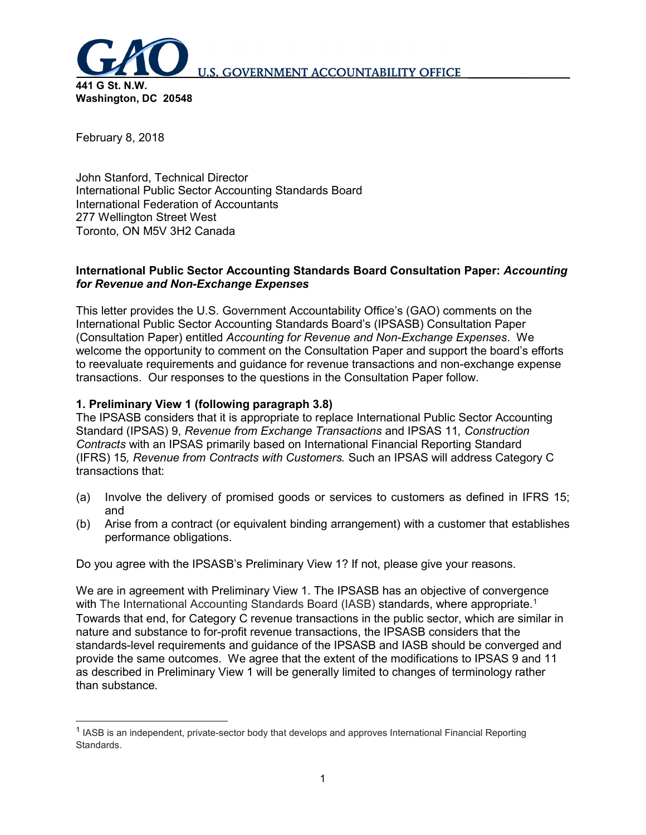

February 8, 2018

John Stanford, Technical Director International Public Sector Accounting Standards Board International Federation of Accountants 277 Wellington Street West Toronto, ON M5V 3H2 Canada

#### **International Public Sector Accounting Standards Board Consultation Paper:** *Accounting for Revenue and Non-Exchange Expenses*

This letter provides the U.S. Government Accountability Office's (GAO) comments on the International Public Sector Accounting Standards Board's (IPSASB) Consultation Paper (Consultation Paper) entitled *Accounting for Revenue and Non-Exchange Expenses*. We welcome the opportunity to comment on the Consultation Paper and support the board's efforts to reevaluate requirements and guidance for revenue transactions and non-exchange expense transactions. Our responses to the questions in the Consultation Paper follow.

### **1. Preliminary View 1 (following paragraph 3.8)**

The IPSASB considers that it is appropriate to replace International Public Sector Accounting Standard (IPSAS) 9, *Revenue from Exchange Transactions* and IPSAS 11*, Construction Contracts* with an IPSAS primarily based on International Financial Reporting Standard (IFRS) 15*, Revenue from Contracts with Customers.* Such an IPSAS will address Category C transactions that:

- (a) Involve the delivery of promised goods or services to customers as defined in IFRS 15; and
- (b) Arise from a contract (or equivalent binding arrangement) with a customer that establishes performance obligations.

Do you agree with the IPSASB's Preliminary View 1? If not, please give your reasons.

We are in agreement with Preliminary View 1. The IPSASB has an objective of convergence with The International Accounting Standards Board (IASB) standards, where appropriate.<sup>1</sup> Towards that end, for Category C revenue transactions in the public sector, which are similar in nature and substance to for-profit revenue transactions, the IPSASB considers that the standards-level requirements and guidance of the IPSASB and IASB should be converged and provide the same outcomes. We agree that the extent of the modifications to IPSAS 9 and 11 as described in Preliminary View 1 will be generally limited to changes of terminology rather than substance.

<span id="page-0-0"></span><sup>&</sup>lt;sup>1</sup> IASB is an independent, private-sector body that develops and approves International Financial Reporting Standards.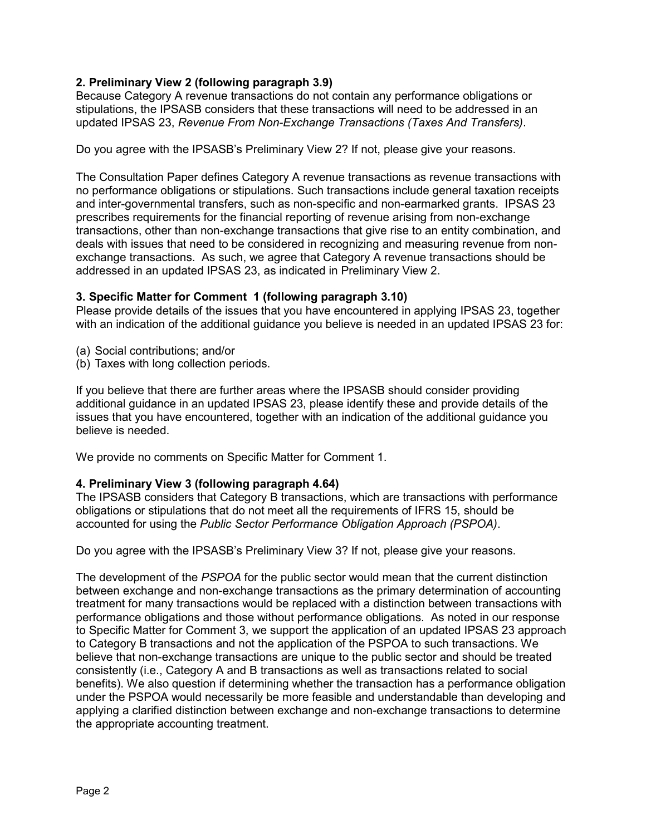# **2. Preliminary View 2 (following paragraph 3.9)**

Because Category A revenue transactions do not contain any performance obligations or stipulations, the IPSASB considers that these transactions will need to be addressed in an updated IPSAS 23, *Revenue From Non-Exchange Transactions (Taxes And Transfers)*.

Do you agree with the IPSASB's Preliminary View 2? If not, please give your reasons.

The Consultation Paper defines Category A revenue transactions as revenue transactions with no performance obligations or stipulations. Such transactions include general taxation receipts and inter-governmental transfers, such as non-specific and non-earmarked grants. IPSAS 23 prescribes requirements for the financial reporting of revenue arising from non-exchange transactions, other than non-exchange transactions that give rise to an entity combination, and deals with issues that need to be considered in recognizing and measuring revenue from nonexchange transactions. As such, we agree that Category A revenue transactions should be addressed in an updated IPSAS 23, as indicated in Preliminary View 2.

#### **3. Specific Matter for Comment 1 (following paragraph 3.10)**

Please provide details of the issues that you have encountered in applying IPSAS 23, together with an indication of the additional guidance you believe is needed in an updated IPSAS 23 for:

- (a) Social contributions; and/or
- (b) Taxes with long collection periods.

If you believe that there are further areas where the IPSASB should consider providing additional guidance in an updated IPSAS 23, please identify these and provide details of the issues that you have encountered, together with an indication of the additional guidance you believe is needed.

We provide no comments on Specific Matter for Comment 1.

#### **4. Preliminary View 3 (following paragraph 4.64)**

The IPSASB considers that Category B transactions, which are transactions with performance obligations or stipulations that do not meet all the requirements of IFRS 15, should be accounted for using the *Public Sector Performance Obligation Approach (PSPOA)*.

Do you agree with the IPSASB's Preliminary View 3? If not, please give your reasons.

The development of the *PSPOA* for the public sector would mean that the current distinction between exchange and non-exchange transactions as the primary determination of accounting treatment for many transactions would be replaced with a distinction between transactions with performance obligations and those without performance obligations. As noted in our response to Specific Matter for Comment 3, we support the application of an updated IPSAS 23 approach to Category B transactions and not the application of the PSPOA to such transactions. We believe that non-exchange transactions are unique to the public sector and should be treated consistently (i.e., Category A and B transactions as well as transactions related to social benefits). We also question if determining whether the transaction has a performance obligation under the PSPOA would necessarily be more feasible and understandable than developing and applying a clarified distinction between exchange and non-exchange transactions to determine the appropriate accounting treatment.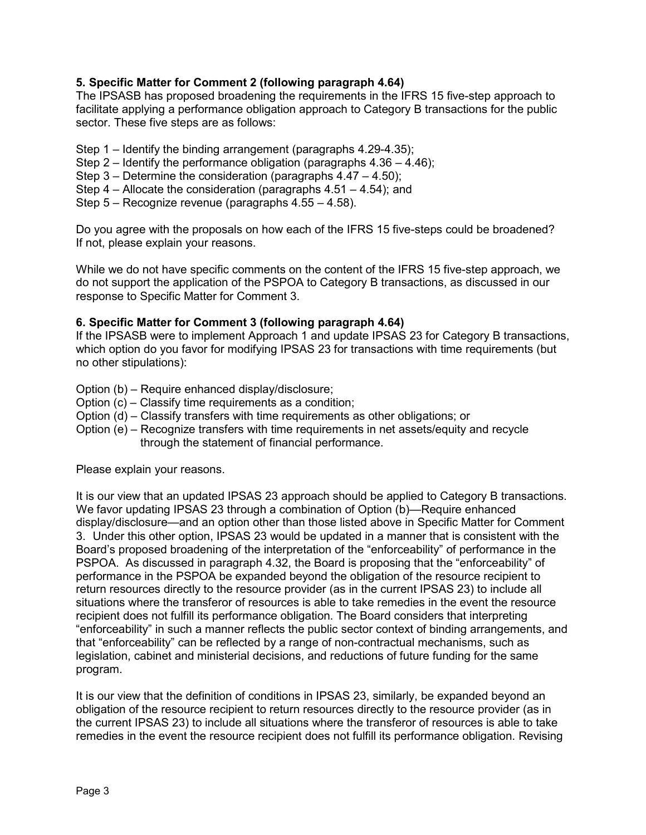### **5. Specific Matter for Comment 2 (following paragraph 4.64)**

The IPSASB has proposed broadening the requirements in the IFRS 15 five-step approach to facilitate applying a performance obligation approach to Category B transactions for the public sector. These five steps are as follows:

- Step 1 Identify the binding arrangement (paragraphs 4.29-4.35);
- Step 2 Identify the performance obligation (paragraphs 4.36 4.46);
- Step 3 Determine the consideration (paragraphs 4.47 4.50);
- Step 4 Allocate the consideration (paragraphs 4.51 4.54); and
- Step 5 Recognize revenue (paragraphs 4.55 4.58).

Do you agree with the proposals on how each of the IFRS 15 five-steps could be broadened? If not, please explain your reasons.

While we do not have specific comments on the content of the IFRS 15 five-step approach, we do not support the application of the PSPOA to Category B transactions, as discussed in our response to Specific Matter for Comment 3.

#### **6. Specific Matter for Comment 3 (following paragraph 4.64)**

If the IPSASB were to implement Approach 1 and update IPSAS 23 for Category B transactions, which option do you favor for modifying IPSAS 23 for transactions with time requirements (but no other stipulations):

- Option (b) Require enhanced display/disclosure;
- Option (c) Classify time requirements as a condition;
- Option (d) Classify transfers with time requirements as other obligations; or
- Option (e) Recognize transfers with time requirements in net assets/equity and recycle through the statement of financial performance.

Please explain your reasons.

It is our view that an updated IPSAS 23 approach should be applied to Category B transactions. We favor updating IPSAS 23 through a combination of Option (b)—Require enhanced display/disclosure—and an option other than those listed above in Specific Matter for Comment 3. Under this other option, IPSAS 23 would be updated in a manner that is consistent with the Board's proposed broadening of the interpretation of the "enforceability" of performance in the PSPOA. As discussed in paragraph 4.32, the Board is proposing that the "enforceability" of performance in the PSPOA be expanded beyond the obligation of the resource recipient to return resources directly to the resource provider (as in the current IPSAS 23) to include all situations where the transferor of resources is able to take remedies in the event the resource recipient does not fulfill its performance obligation. The Board considers that interpreting "enforceability" in such a manner reflects the public sector context of binding arrangements, and that "enforceability" can be reflected by a range of non-contractual mechanisms, such as legislation, cabinet and ministerial decisions, and reductions of future funding for the same program.

It is our view that the definition of conditions in IPSAS 23, similarly, be expanded beyond an obligation of the resource recipient to return resources directly to the resource provider (as in the current IPSAS 23) to include all situations where the transferor of resources is able to take remedies in the event the resource recipient does not fulfill its performance obligation. Revising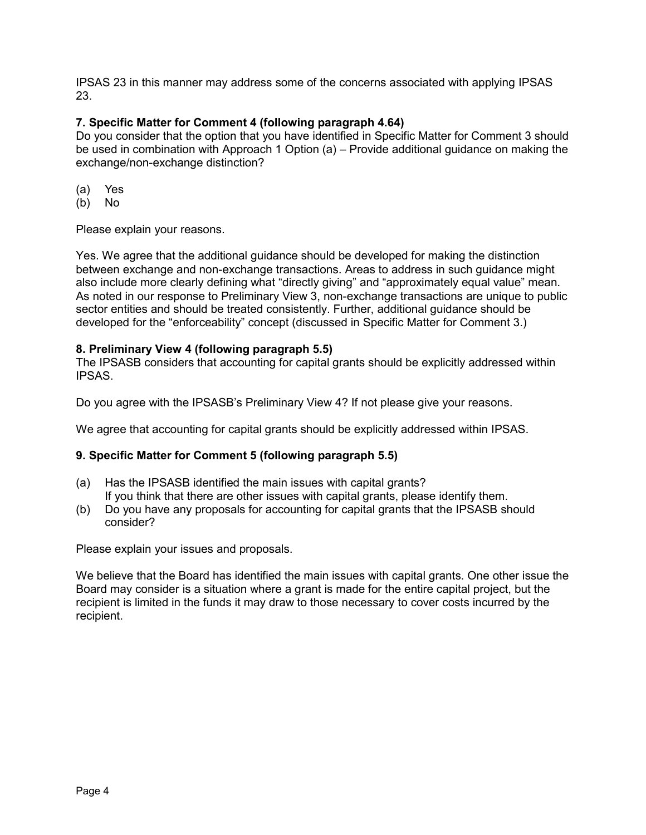IPSAS 23 in this manner may address some of the concerns associated with applying IPSAS 23.

# **7. Specific Matter for Comment 4 (following paragraph 4.64)**

Do you consider that the option that you have identified in Specific Matter for Comment 3 should be used in combination with Approach 1 Option (a) – Provide additional guidance on making the exchange/non-exchange distinction?

- (a) Yes
- (b) No

Please explain your reasons.

Yes. We agree that the additional guidance should be developed for making the distinction between exchange and non-exchange transactions. Areas to address in such guidance might also include more clearly defining what "directly giving" and "approximately equal value" mean. As noted in our response to Preliminary View 3, non-exchange transactions are unique to public sector entities and should be treated consistently. Further, additional guidance should be developed for the "enforceability" concept (discussed in Specific Matter for Comment 3.)

### **8. Preliminary View 4 (following paragraph 5.5)**

The IPSASB considers that accounting for capital grants should be explicitly addressed within IPSAS.

Do you agree with the IPSASB's Preliminary View 4? If not please give your reasons.

We agree that accounting for capital grants should be explicitly addressed within IPSAS.

# **9. Specific Matter for Comment 5 (following paragraph 5.5)**

- (a) Has the IPSASB identified the main issues with capital grants? If you think that there are other issues with capital grants, please identify them.
- (b) Do you have any proposals for accounting for capital grants that the IPSASB should consider?

Please explain your issues and proposals.

We believe that the Board has identified the main issues with capital grants. One other issue the Board may consider is a situation where a grant is made for the entire capital project, but the recipient is limited in the funds it may draw to those necessary to cover costs incurred by the recipient.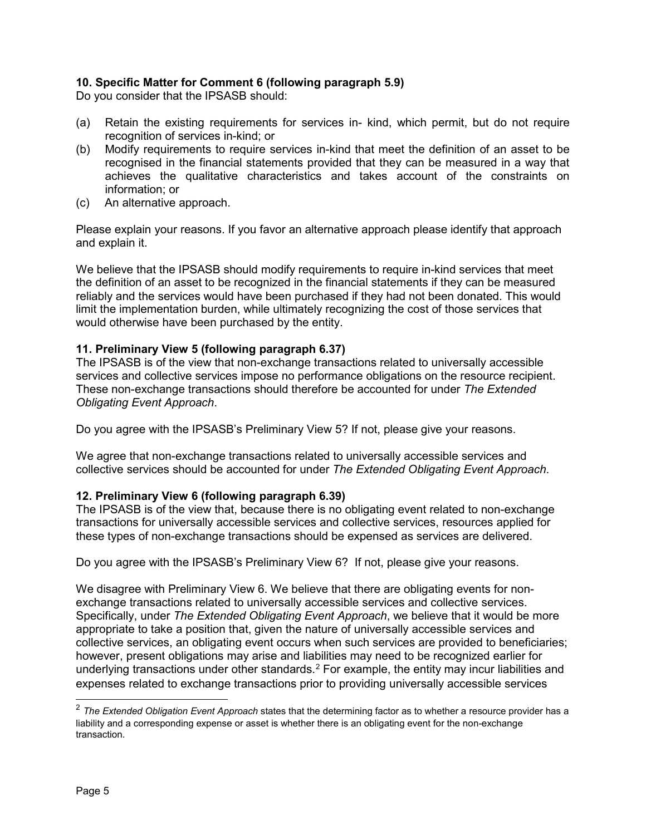# **10. Specific Matter for Comment 6 (following paragraph 5.9)**

Do you consider that the IPSASB should:

- (a) Retain the existing requirements for services in- kind, which permit, but do not require recognition of services in-kind; or
- (b) Modify requirements to require services in-kind that meet the definition of an asset to be recognised in the financial statements provided that they can be measured in a way that achieves the qualitative characteristics and takes account of the constraints on information; or
- (c) An alternative approach.

Please explain your reasons. If you favor an alternative approach please identify that approach and explain it.

We believe that the IPSASB should modify requirements to require in-kind services that meet the definition of an asset to be recognized in the financial statements if they can be measured reliably and the services would have been purchased if they had not been donated. This would limit the implementation burden, while ultimately recognizing the cost of those services that would otherwise have been purchased by the entity.

### **11. Preliminary View 5 (following paragraph 6.37)**

The IPSASB is of the view that non-exchange transactions related to universally accessible services and collective services impose no performance obligations on the resource recipient. These non-exchange transactions should therefore be accounted for under *The Extended Obligating Event Approach*.

Do you agree with the IPSASB's Preliminary View 5? If not, please give your reasons.

We agree that non-exchange transactions related to universally accessible services and collective services should be accounted for under *The Extended Obligating Event Approach*.

### **12. Preliminary View 6 (following paragraph 6.39)**

The IPSASB is of the view that, because there is no obligating event related to non-exchange transactions for universally accessible services and collective services, resources applied for these types of non-exchange transactions should be expensed as services are delivered.

Do you agree with the IPSASB's Preliminary View 6? If not, please give your reasons.

We disagree with Preliminary View 6. We believe that there are obligating events for nonexchange transactions related to universally accessible services and collective services. Specifically, under *The Extended Obligating Event Approach*, we believe that it would be more appropriate to take a position that, given the nature of universally accessible services and collective services, an obligating event occurs when such services are provided to beneficiaries; however, present obligations may arise and liabilities may need to be recognized earlier for underlying transactions under other standards.<sup>[2](#page-4-0)</sup> For example, the entity may incur liabilities and expenses related to exchange transactions prior to providing universally accessible services

<span id="page-4-0"></span> <sup>2</sup> *The Extended Obligation Event Approach* states that the determining factor as to whether a resource provider has a liability and a corresponding expense or asset is whether there is an obligating event for the non-exchange transaction.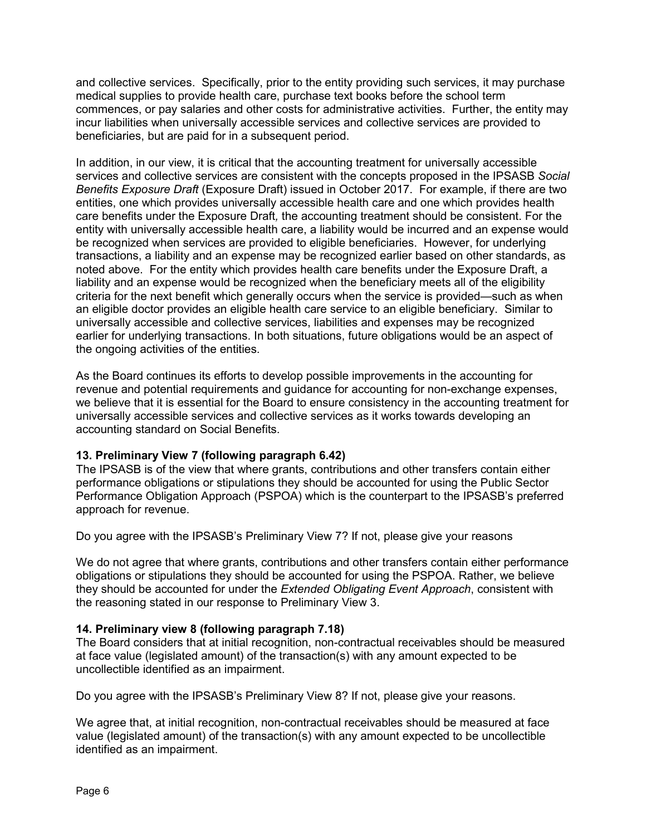and collective services. Specifically, prior to the entity providing such services, it may purchase medical supplies to provide health care, purchase text books before the school term commences, or pay salaries and other costs for administrative activities. Further, the entity may incur liabilities when universally accessible services and collective services are provided to beneficiaries, but are paid for in a subsequent period.

In addition, in our view, it is critical that the accounting treatment for universally accessible services and collective services are consistent with the concepts proposed in the IPSASB *Social Benefits Exposure Draft* (Exposure Draft) issued in October 2017. For example, if there are two entities, one which provides universally accessible health care and one which provides health care benefits under the Exposure Draft*,* the accounting treatment should be consistent. For the entity with universally accessible health care, a liability would be incurred and an expense would be recognized when services are provided to eligible beneficiaries. However, for underlying transactions, a liability and an expense may be recognized earlier based on other standards, as noted above. For the entity which provides health care benefits under the Exposure Draft, a liability and an expense would be recognized when the beneficiary meets all of the eligibility criteria for the next benefit which generally occurs when the service is provided—such as when an eligible doctor provides an eligible health care service to an eligible beneficiary. Similar to universally accessible and collective services, liabilities and expenses may be recognized earlier for underlying transactions. In both situations, future obligations would be an aspect of the ongoing activities of the entities.

As the Board continues its efforts to develop possible improvements in the accounting for revenue and potential requirements and guidance for accounting for non-exchange expenses, we believe that it is essential for the Board to ensure consistency in the accounting treatment for universally accessible services and collective services as it works towards developing an accounting standard on Social Benefits.

### **13. Preliminary View 7 (following paragraph 6.42)**

The IPSASB is of the view that where grants, contributions and other transfers contain either performance obligations or stipulations they should be accounted for using the Public Sector Performance Obligation Approach (PSPOA) which is the counterpart to the IPSASB's preferred approach for revenue.

Do you agree with the IPSASB's Preliminary View 7? If not, please give your reasons

We do not agree that where grants, contributions and other transfers contain either performance obligations or stipulations they should be accounted for using the PSPOA. Rather, we believe they should be accounted for under the *Extended Obligating Event Approach*, consistent with the reasoning stated in our response to Preliminary View 3.

### **14. Preliminary view 8 (following paragraph 7.18)**

The Board considers that at initial recognition, non-contractual receivables should be measured at face value (legislated amount) of the transaction(s) with any amount expected to be uncollectible identified as an impairment.

Do you agree with the IPSASB's Preliminary View 8? If not, please give your reasons.

We agree that, at initial recognition, non-contractual receivables should be measured at face value (legislated amount) of the transaction(s) with any amount expected to be uncollectible identified as an impairment.